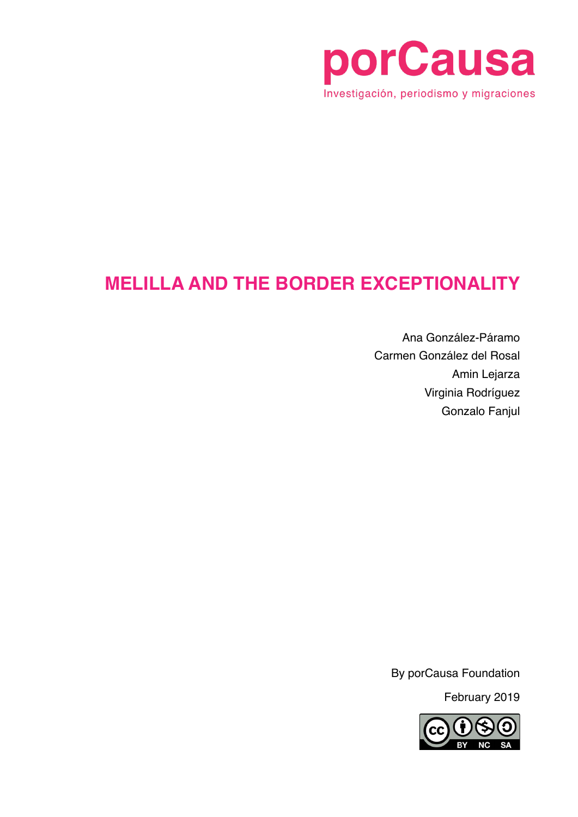

### **MELILLA AND THE BORDER EXCEPTIONALITY**

Ana González-Páramo Carmen González del Rosal Amin Lejarza Virginia Rodríguez Gonzalo Fanjul

By porCausa Foundation

February 2019

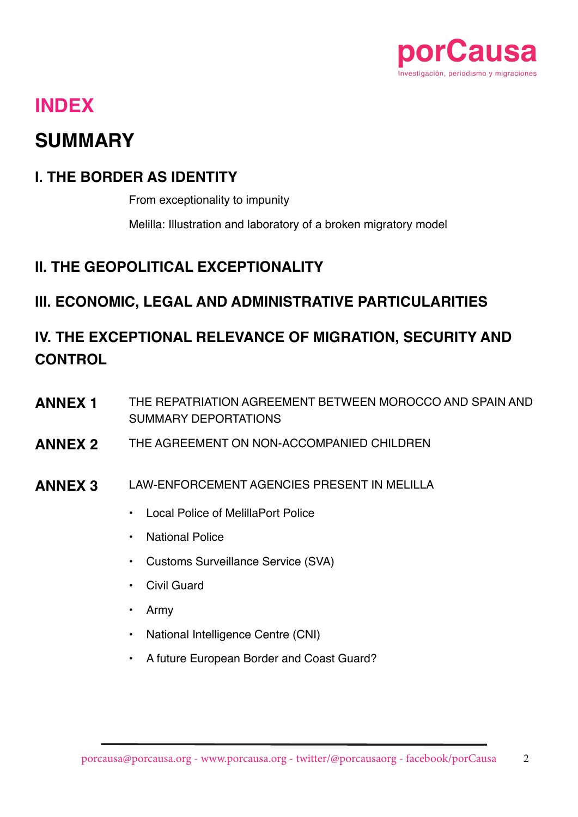

### **INDEX**

### **SUMMARY**

#### **I. THE BORDER AS IDENTITY**

From exceptionality to impunity

Melilla: Illustration and laboratory of a broken migratory model

#### **II. THE GEOPOLITICAL EXCEPTIONALITY**

#### **III. ECONOMIC, LEGAL AND ADMINISTRATIVE PARTICULARITIES**

### **IV. THE EXCEPTIONAL RELEVANCE OF MIGRATION, SECURITY AND CONTROL**

- **ANNEX 1** THE REPATRIATION AGREEMENT BETWEEN MOROCCO AND SPAIN AND SUMMARY DEPORTATIONS
- **ANNEX 2** THE AGREEMENT ON NON-ACCOMPANIED CHILDREN
- **ANNEX 3** LAW-ENFORCEMENT AGENCIES PRESENT IN MELILLA
	- Local Police of MelillaPort Police
	- National Police
	- Customs Surveillance Service (SVA)
	- Civil Guard
	- Army
	- National Intelligence Centre (CNI)
	- A future European Border and Coast Guard?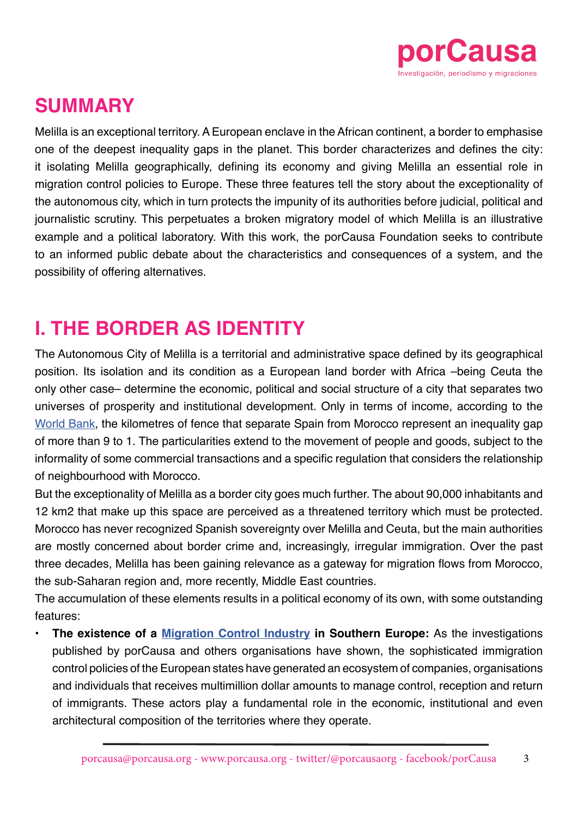

### **SUMMARY**

Melilla is an exceptional territory. A European enclave in the African continent, a border to emphasise one of the deepest inequality gaps in the planet. This border characterizes and defines the city: it isolating Melilla geographically, defining its economy and giving Melilla an essential role in migration control policies to Europe. These three features tell the story about the exceptionality of the autonomous city, which in turn protects the impunity of its authorities before judicial, political and journalistic scrutiny. This perpetuates a broken migratory model of which Melilla is an illustrative example and a political laboratory. With this work, the porCausa Foundation seeks to contribute to an informed public debate about the characteristics and consequences of a system, and the possibility of offering alternatives.

### **I. THE BORDER AS IDENTITY**

The Autonomous City of Melilla is a territorial and administrative space defined by its geographical position. Its isolation and its condition as a European land border with Africa –being Ceuta the only other case– determine the economic, political and social structure of a city that separates two universes of prosperity and institutional development. Only in terms of income, according to the [World Bank,](https://datos.bancomundial.org/indicador/NY.GDP.PCAP.CD) the kilometres of fence that separate Spain from Morocco represent an inequality gap of more than 9 to 1. The particularities extend to the movement of people and goods, subject to the informality of some commercial transactions and a specific regulation that considers the relationship of neighbourhood with Morocco.

But the exceptionality of Melilla as a border city goes much further. The about 90,000 inhabitants and 12 km2 that make up this space are perceived as a threatened territory which must be protected. Morocco has never recognized Spanish sovereignty over Melilla and Ceuta, but the main authorities are mostly concerned about border crime and, increasingly, irregular immigration. Over the past three decades, Melilla has been gaining relevance as a gateway for migration flows from Morocco, the sub-Saharan region and, more recently, Middle East countries.

The accumulation of these elements results in a political economy of its own, with some outstanding features:

**• The existence of a [Migration Control Industry](https://porcausa.org/industriacontrolmigratorio/) in Southern Europe:** As the investigations published by porCausa and others organisations have shown, the sophisticated immigration control policies of the European states have generated an ecosystem of companies, organisations and individuals that receives multimillion dollar amounts to manage control, reception and return of immigrants. These actors play a fundamental role in the economic, institutional and even architectural composition of the territories where they operate.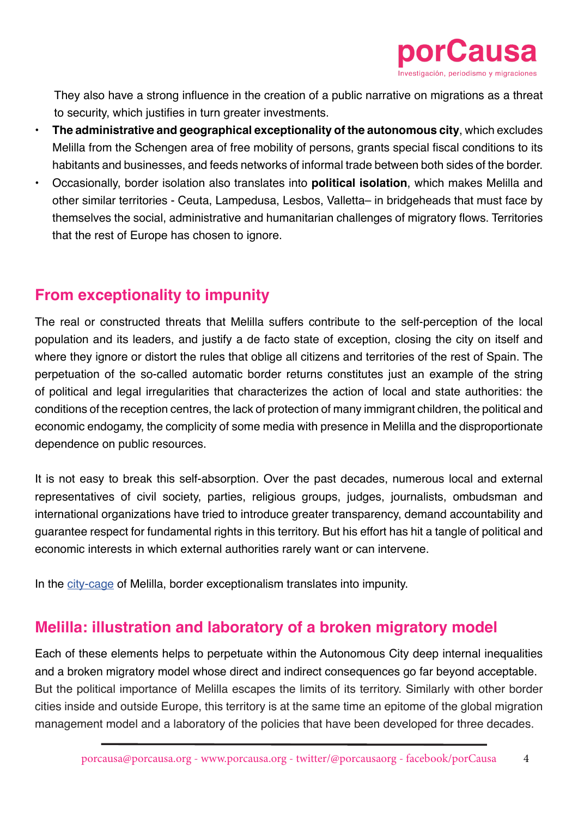

They also have a strong influence in the creation of a public narrative on migrations as a threat to security, which justifies in turn greater investments.

- **• The administrative and geographical exceptionality of the autonomous city**, which excludes Melilla from the Schengen area of free mobility of persons, grants special fiscal conditions to its habitants and businesses, and feeds networks of informal trade between both sides of the border.
- Occasionally, border isolation also translates into **political isolation**, which makes Melilla and other similar territories - Ceuta, Lampedusa, Lesbos, Valletta– in bridgeheads that must face by themselves the social, administrative and humanitarian challenges of migratory flows. Territories that the rest of Europe has chosen to ignore.

#### **From exceptionality to impunity**

The real or constructed threats that Melilla suffers contribute to the self-perception of the local population and its leaders, and justify a de facto state of exception, closing the city on itself and where they ignore or distort the rules that oblige all citizens and territories of the rest of Spain. The perpetuation of the so-called automatic border returns constitutes just an example of the string of political and legal irregularities that characterizes the action of local and state authorities: the conditions of the reception centres, the lack of protection of many immigrant children, the political and economic endogamy, the complicity of some media with presence in Melilla and the disproportionate dependence on public resources.

It is not easy to break this self-absorption. Over the past decades, numerous local and external representatives of civil society, parties, religious groups, judges, journalists, ombudsman and international organizations have tried to introduce greater transparency, demand accountability and guarantee respect for fundamental rights in this territory. But his effort has hit a tangle of political and economic interests in which external authorities rarely want or can intervene.

In the [city-cage](https://porcausa.org/articulo/claustrofobia-la-ciudad-jaula-encerrados-mar-la-valla/) of Melilla, border exceptionalism translates into impunity.

#### **Melilla: illustration and laboratory of a broken migratory model**

Each of these elements helps to perpetuate within the Autonomous City deep internal inequalities and a broken migratory model whose direct and indirect consequences go far beyond acceptable. But the political importance of Melilla escapes the limits of its territory. Similarly with other border cities inside and outside Europe, this territory is at the same time an epitome of the global migration management model and a laboratory of the policies that have been developed for three decades.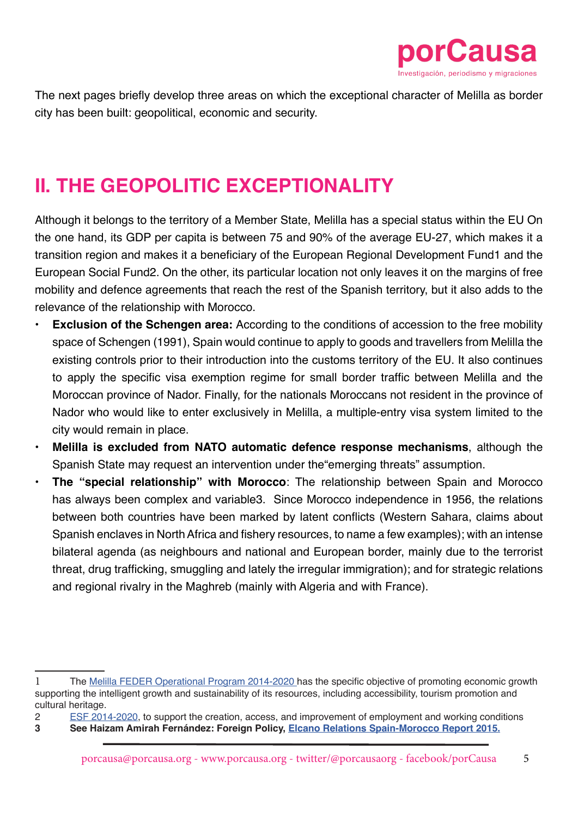

The next pages briefly develop three areas on which the exceptional character of Melilla as border city has been built: geopolitical, economic and security.

## **II. THE GEOPOLITIC EXCEPTIONALITY**

Although it belongs to the territory of a Member State, Melilla has a special status within the EU On the one hand, its GDP per capita is between 75 and 90% of the average EU-27, which makes it a transition region and makes it a beneficiary of the European Regional Development Fund1 and the European Social Fund2. On the other, its particular location not only leaves it on the margins of free mobility and defence agreements that reach the rest of the Spanish territory, but it also adds to the relevance of the relationship with Morocco.

- **Exclusion of the Schengen area:** According to the conditions of accession to the free mobility space of Schengen (1991), Spain would continue to apply to goods and travellers from Melilla the existing controls prior to their introduction into the customs territory of the EU. It also continues to apply the specific visa exemption regime for small border traffic between Melilla and the Moroccan province of Nador. Finally, for the nationals Moroccans not resident in the province of Nador who would like to enter exclusively in Melilla, a multiple-entry visa system limited to the city would remain in place.
- **• Melilla is excluded from NATO automatic defence response mechanisms**, although the Spanish State may request an intervention under the"emerging threats" assumption.
- **• The "special relationship" with Morocco**: The relationship between Spain and Morocco has always been complex and variable3. Since Morocco independence in 1956, the relations between both countries have been marked by latent conflicts (Western Sahara, claims about Spanish enclaves in North Africa and fishery resources, to name a few examples); with an intense bilateral agenda (as neighbours and national and European border, mainly due to the terrorist threat, drug trafficking, smuggling and lately the irregular immigration); and for strategic relations and regional rivalry in the Maghreb (mainly with Algeria and with France).

2 [ESF 2014-2020](http://fondoseuropeosmelilla.es/wp-content/uploads/2015/11/Version-SFC-PO-FSE-Melilla-24.8.2015.pdf), to support the creation, access, and improvement of employment and working conditions

<sup>1</sup> The [Melilla FEDER Operational Program 2014-2020](https://fondoseuropeosmelilla.es/documentos-principales-del-po/) has the specific objective of promoting economic growth supporting the intelligent growth and sustainability of its resources, including accessibility, tourism promotion and cultural heritage.

**<sup>3</sup> See Haizam Amirah Fernández: Foreign Policy, [Elcano Relations Spain-Morocco Report 2015.](http://www.realinstitutoelcano.org/wps/wcm/connect/88904c804aafc38788f08e207baccc4c/Informe-Elcano-19-Relaciones-Espana-Marruecos.pdf?MOD=AJPERES&CACHEID=88904c804aafc38788f08e207baccc4c)**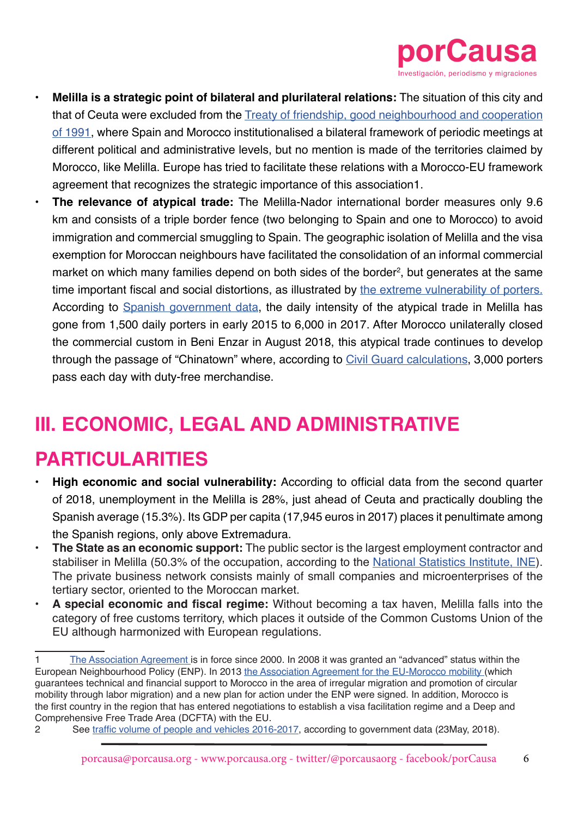

- **• Melilla is a strategic point of bilateral and plurilateral relations:** The situation of this city and that of Ceuta were excluded from the [Treaty of friendship, good neighbourhood and cooperation](https://www.boe.es/buscar/doc.php?id=BOE-A-1993-5422#analisis) [of 1991,](https://www.boe.es/buscar/doc.php?id=BOE-A-1993-5422#analisis) where Spain and Morocco institutionalised a bilateral framework of periodic meetings at different political and administrative levels, but no mention is made of the territories claimed by Morocco, like Melilla. Europe has tried to facilitate these relations with a Morocco-EU framework agreement that recognizes the strategic importance of this association1.
- **• The relevance of atypical trade:** The Melilla-Nador international border measures only 9.6 km and consists of a triple border fence (two belonging to Spain and one to Morocco) to avoid immigration and commercial smuggling to Spain. The geographic isolation of Melilla and the visa exemption for Moroccan neighbours have facilitated the consolidation of an informal commercial market on which many families depend on both sides of the border<sup>2</sup>, but generates at the same time important fiscal and social distortions, as illustrated by [the extreme vulnerability of porters.](http://www.congreso.es/l12p/e4/e_0048197_n_000.pdf) According to [Spanish government data](http://www.congreso.es/l12p/e7/e_0078917_n_000.pdf), the daily intensity of the atypical trade in Melilla has gone from 1,500 daily porters in early 2015 to 6,000 in 2017. After Morocco unilaterally closed the commercial custom in Beni Enzar in August 2018, this atypical trade continues to develop through the passage of "Chinatown" where, according to [Civil Guard calculations,](https://www.abc.es/espana/abci-libre-3000-porteadores-aunque-marruecos-siga-sin-abrir-aduana-melilla-201809170454_noticia.html) 3,000 porters pass each day with duty-free merchandise.

## **III. ECONOMIC, LEGAL AND ADMINISTRATIVE**

### **PARTICULARITIES**

- **• High economic and social vulnerability:** According to official data from the second quarter of 2018, unemployment in the Melilla is 28%, just ahead of Ceuta and practically doubling the Spanish average (15.3%). Its GDP per capita (17,945 euros in 2017) places it penultimate among the Spanish regions, only above Extremadura.
- **• The State as an economic support:** The public sector is the largest employment contractor and stabiliser in Melilla (50.3% of the occupation, according to the [National Statistics Institute, INE\)](http://www.ine.es/jaxiT3/Tabla.htm?t=4960). The private business network consists mainly of small companies and microenterprises of the tertiary sector, oriented to the Moroccan market.
- **• A special economic and fiscal regime:** Without becoming a tax haven, Melilla falls into the category of free customs territory, which places it outside of the Common Customs Union of the EU although harmonized with European regulations.

2 See [traffic volume of people and vehicles 2016-2017](http://www.congreso.es/l12p/e9/e_0090605_n_000.pdf), according to government data (23May, 2018).

<sup>1</sup> [The Association Agreement i](https://eur-lex.europa.eu/legal-content/ES/ALL/?uri=CELEX:32000D0204)s in force since 2000. In 2008 it was granted an "advanced" status within the European Neighbourhood Policy (ENP). In 2013 [the Association Agreement for the EU-Morocco mobility](https://ec.europa.eu/home-affairs/sites/homeaffairs/files/what-is-new/news/news/2013/docs/20130607_declaration_conjointe-maroc_eu_version_3_6_13_en.pdf) (which guarantees technical and financial support to Morocco in the area of irregular migration and promotion of circular mobility through labor migration) and a new plan for action under the ENP were signed. In addition, Morocco is the first country in the region that has entered negotiations to establish a visa facilitation regime and a Deep and Comprehensive Free Trade Area (DCFTA) with the EU.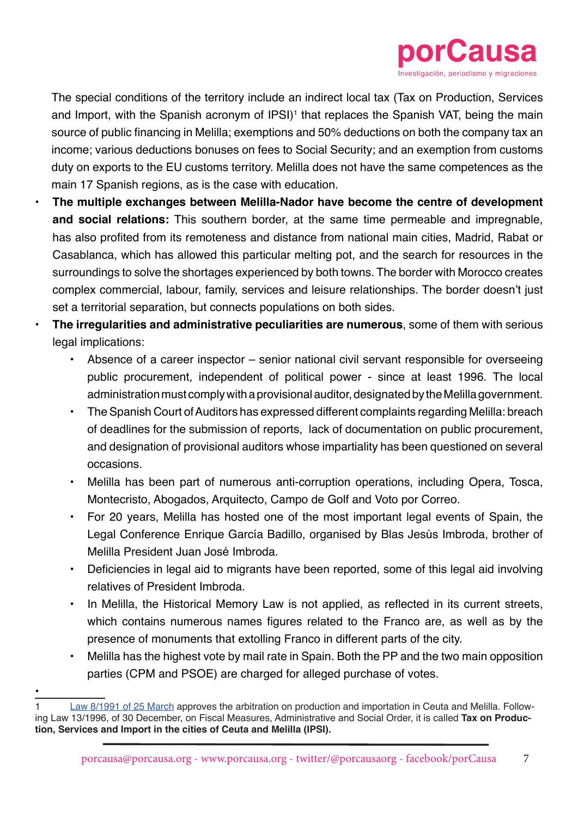

The special conditions of the territory include an indirect local tax (Tax on Production, Services and Import, with the Spanish acronym of IPSI)<sup>1</sup> that replaces the Spanish VAT, being the main source of public financing in Melilla; exemptions and 50% deductions on both the company tax an income; various deductions bonuses on fees to Social Security; and an exemption from customs duty on exports to the EU customs territory. Melilla does not have the same competences as the main 17 Spanish regions, as is the case with education.

- **• The multiple exchanges between Melilla-Nador have become the centre of development and social relations:** This southern border, at the same time permeable and impregnable, has also profited from its remoteness and distance from national main cities, Madrid, Rabat or Casablanca, which has allowed this particular melting pot, and the search for resources in the surroundings to solve the shortages experienced by both towns. The border with Morocco creates complex commercial, labour, family, services and leisure relationships. The border doesn't just set a territorial separation, but connects populations on both sides.
- **• The irregularities and administrative peculiarities are numerous**, some of them with serious legal implications:
	- Absence of a career inspector senior national civil servant responsible for overseeing public procurement, independent of political power - since at least 1996. The local administration must comply with a provisional auditor, designated by the Melilla government.
	- The Spanish Court of Auditors has expressed different complaints regarding Melilla: breach of deadlines for the submission of reports, lack of documentation on public procurement, and designation of provisional auditors whose impartiality has been questioned on several occasions.
	- Melilla has been part of numerous anti-corruption operations, including Opera, Tosca, Montecristo, Abogados, Arquitecto, Campo de Golf and Voto por Correo.
	- For 20 years, Melilla has hosted one of the most important legal events of Spain, the Legal Conference Enrique García Badillo, organised by Blas Jesús Imbroda, brother of Melilla President Juan José Imbroda.
	- Deficiencies in legal aid to migrants have been reported, some of this legal aid involving relatives of President Imbroda.
	- In Melilla, the Historical Memory Law is not applied, as reflected in its current streets, which contains numerous names figures related to the Franco are, as well as by the presence of monuments that extolling Franco in different parts of the city.
	- Melilla has the highest vote by mail rate in Spain. Both the PP and the two main opposition parties (CPM and PSOE) are charged for alleged purchase of votes.
- [Law 8/1991 of 25 March](https://www.boe.es/buscar/act.php?id=BOE-A-1991-7645) approves the arbitration on production and importation in Ceuta and Melilla. Following Law 13/1996, of 30 December, on Fiscal Measures, Administrative and Social Order, it is called **Tax on Production, Services and Import in the cities of Ceuta and Melilla (IPSI).**

•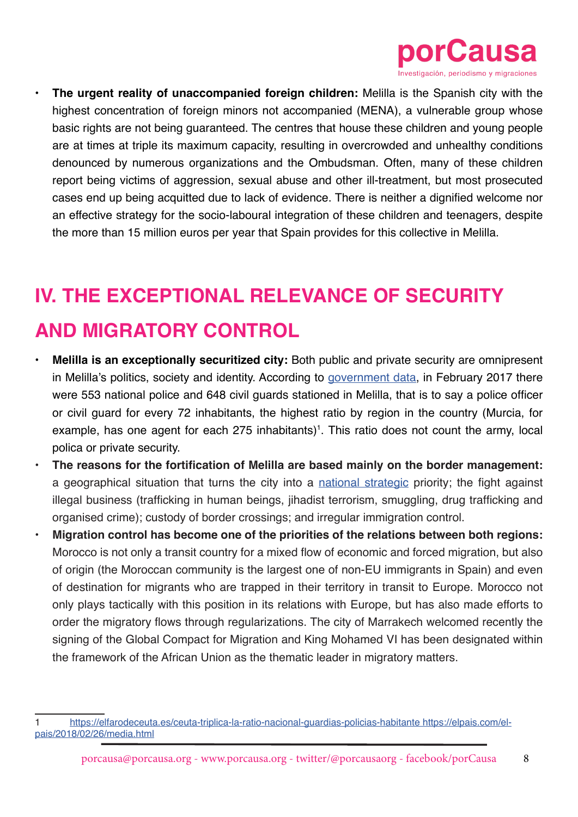

**The urgent reality of unaccompanied foreign children:** Melilla is the Spanish city with the highest concentration of foreign minors not accompanied (MENA), a vulnerable group whose basic rights are not being guaranteed. The centres that house these children and young people are at times at triple its maximum capacity, resulting in overcrowded and unhealthy conditions denounced by numerous organizations and the Ombudsman. Often, many of these children report being victims of aggression, sexual abuse and other ill-treatment, but most prosecuted cases end up being acquitted due to lack of evidence. There is neither a dignified welcome nor an effective strategy for the socio-laboural integration of these children and teenagers, despite the more than 15 million euros per year that Spain provides for this collective in Melilla.

## **IV. THE EXCEPTIONAL RELEVANCE OF SECURITY**

## **AND MIGRATORY CONTROL**

- **• Melilla is an exceptionally securitized city:** Both public and private security are omnipresent in Melilla's politics, society and identity. According to [government data,](http://www.senado.es/web/expedientdocblobservlet?legis=12&id=44746) in February 2017 there were 553 national police and 648 civil guards stationed in Melilla, that is to say a police officer or civil guard for every 72 inhabitants, the highest ratio by region in the country (Murcia, for example, has one agent for each 275 inhabitants)<sup>1</sup>. This ratio does not count the army, local polica or private security.
- **• The reasons for the fortification of Melilla are based mainly on the border management:**  a geographical situation that turns the city into a [national strategic](http://www.dsn.gob.es/es/estrategias-publicaciones/estrategias/estrategia-seguridad-nacional-2017) priority; the fight against illegal business (trafficking in human beings, jihadist terrorism, smuggling, drug trafficking and organised crime); custody of border crossings; and irregular immigration control.
- **• Migration control has become one of the priorities of the relations between both regions:**  Morocco is not only a transit country for a mixed flow of economic and forced migration, but also of origin (the Moroccan community is the largest one of non-EU immigrants in Spain) and even of destination for migrants who are trapped in their territory in transit to Europe. Morocco not only plays tactically with this position in its relations with Europe, but has also made efforts to order the migratory flows through regularizations. The city of Marrakech welcomed recently the signing of the Global Compact for Migration and King Mohamed VI has been designated within the framework of the African Union as the thematic leader in migratory matters.

[https://elfarodeceuta.es/ceuta-triplica-la-ratio-nacional-guardias-policias-habitante https://elpais.com/el](https://elfarodeceuta.es/ceuta-triplica-la-ratio-nacional-guardias-policias-habitante https://elpais.com/elpais/2018/02/26/media.html)[pais/2018/02/26/media.html](https://elfarodeceuta.es/ceuta-triplica-la-ratio-nacional-guardias-policias-habitante https://elpais.com/elpais/2018/02/26/media.html)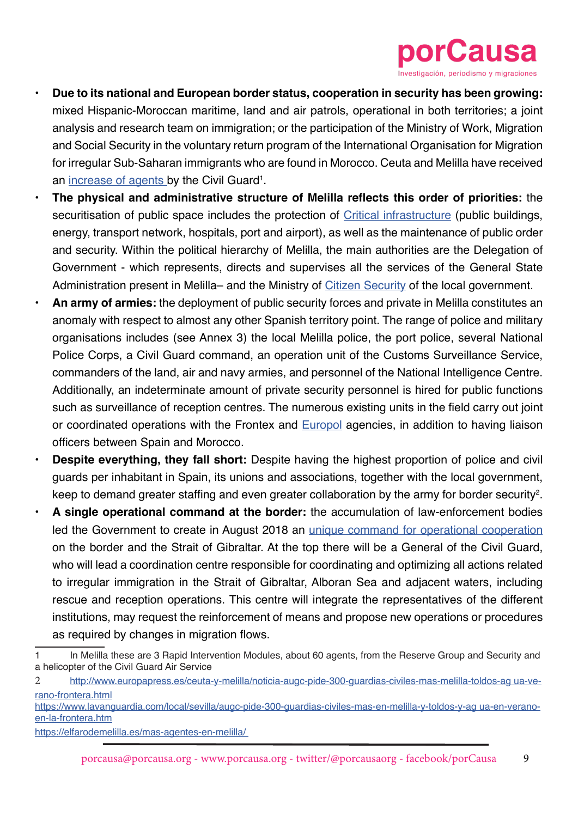

- **• Due to its national and European border status, cooperation in security has been growing:**  mixed Hispanic-Moroccan maritime, land and air patrols, operational in both territories; a joint analysis and research team on immigration; or the participation of the Ministry of Work, Migration and Social Security in the voluntary return program of the International Organisation for Migration for irregular Sub-Saharan immigrants who are found in Morocco. Ceuta and Melilla have received an [increase of agents](http://www.interior.gob.es/es/web/interior/noticias/detalle/-/journal_content/56_INSTANCE_1YSSI3xiWuPH/10180/9195379/?redirect=http%253A%252F%252Fwww.interior.gob.es%252Fes%252Fprensa%252Fnoticias%253Fp_p_id%253D101_INSTANCE_GHU8Ap6ztgsg%2526p_p_lifecycle%253D0%2526p_p_state%253Dnormal%2526p_p_mode%253Dview%2526p_p_col_id%253Dcolumn-2%2526p_p_col_count%253D1) by the Civil Guard<sup>1</sup>.
- **• The physical and administrative structure of Melilla reflects this order of priorities:** the securitisation of public space includes the protection of [Critical infrastructure](https://www.boe.es/buscar/pdf/2011/BOE-A-2011-7630-consolidado.pdf) (public buildings, energy, transport network, hospitals, port and airport), as well as the maintenance of public order and security. Within the political hierarchy of Melilla, the main authorities are the Delegation of Government - which represents, directs and supervises all the services of the General State Administration present in Melilla– and the Ministry of [Citizen Security](http://www.melilla.es/melillaportal/contenedor_tema.jsp?seccion=distribuidor_servicios_tema.jsp&language=es&codResi=1&codMenuPN=601&codMenu=10&layout=contenedor_tema.jsp&ca=10&layout=contenedor_tema.jsp) of the local government.
- **• An army of armies:** the deployment of public security forces and private in Melilla constitutes an anomaly with respect to almost any other Spanish territory point. The range of police and military organisations includes (see Annex 3) the local Melilla police, the port police, several National Police Corps, a Civil Guard command, an operation unit of the Customs Surveillance Service, commanders of the land, air and navy armies, and personnel of the National Intelligence Centre. Additionally, an indeterminate amount of private security personnel is hired for public functions such as surveillance of reception centres. The numerous existing units in the field carry out joint or coordinated operations with the Frontex and **[Europol](https://www.europol.europa.eu/search?t=Melilla&op=Search)** agencies, in addition to having liaison officers between Spain and Morocco.
- **• Despite everything, they fall short:** Despite having the highest proportion of police and civil guards per inhabitant in Spain, its unions and associations, together with the local government, keep to demand greater staffing and even greater collaboration by the army for border security<sup>2</sup>.
- **• A single operational command at the border:** the accumulation of law-enforcement bodies led the Government to create in August 2018 an [unique command for operational cooperation](http://www.interior.gob.es/prensa/noticias/-/asset_publisher/GHU8Ap6ztgsg/content/id/9110332) on the border and the Strait of Gibraltar. At the top there will be a General of the Civil Guard, who will lead a coordination centre responsible for coordinating and optimizing all actions related to irregular immigration in the Strait of Gibraltar, Alboran Sea and adjacent waters, including rescue and reception operations. This centre will integrate the representatives of the different institutions, may request the reinforcement of means and propose new operations or procedures as required by changes in migration flows.

<sup>1</sup> In Melilla these are 3 Rapid Intervention Modules, about 60 agents, from the Reserve Group and Security and a helicopter of the Civil Guard Air Service

<sup>2</sup> [http://www.europapress.es/ceuta-y-melilla/noticia-augc-pide-300-guardias-civiles-mas-melilla-toldos-ag ua-ve](http://www.europapress.es/ceuta-y-melilla/noticia-augc-pide-300-guardias-civiles-mas-melilla-toldos-ag ua-verano-frontera.html
https://www.lavanguardia.com/local/sevilla/augc-pide-300-guardias-civiles-mas-en-melilla-y-toldos-y-ag ua-en-verano-en-la-frontera.htm
https://elfarodemelilla.es/mas-agentes-en-melilla/)[rano-frontera.html](http://www.europapress.es/ceuta-y-melilla/noticia-augc-pide-300-guardias-civiles-mas-melilla-toldos-ag ua-verano-frontera.html
https://www.lavanguardia.com/local/sevilla/augc-pide-300-guardias-civiles-mas-en-melilla-y-toldos-y-ag ua-en-verano-en-la-frontera.htm
https://elfarodemelilla.es/mas-agentes-en-melilla/)

[https://www.lavanguardia.com/local/sevilla/augc-pide-300-guardias-civiles-mas-en-melilla-y-toldos-y-ag ua-en-verano](http://www.europapress.es/ceuta-y-melilla/noticia-augc-pide-300-guardias-civiles-mas-melilla-toldos-ag ua-verano-frontera.html
https://www.lavanguardia.com/local/sevilla/augc-pide-300-guardias-civiles-mas-en-melilla-y-toldos-y-ag ua-en-verano-en-la-frontera.htm
https://elfarodemelilla.es/mas-agentes-en-melilla/)[en-la-frontera.htm](http://www.europapress.es/ceuta-y-melilla/noticia-augc-pide-300-guardias-civiles-mas-melilla-toldos-ag ua-verano-frontera.html
https://www.lavanguardia.com/local/sevilla/augc-pide-300-guardias-civiles-mas-en-melilla-y-toldos-y-ag ua-en-verano-en-la-frontera.htm
https://elfarodemelilla.es/mas-agentes-en-melilla/)

[https://elfarodemelilla.es/mas-agentes-en-melilla/](http://www.europapress.es/ceuta-y-melilla/noticia-augc-pide-300-guardias-civiles-mas-melilla-toldos-ag ua-verano-frontera.html
https://www.lavanguardia.com/local/sevilla/augc-pide-300-guardias-civiles-mas-en-melilla-y-toldos-y-ag ua-en-verano-en-la-frontera.htm
https://elfarodemelilla.es/mas-agentes-en-melilla/)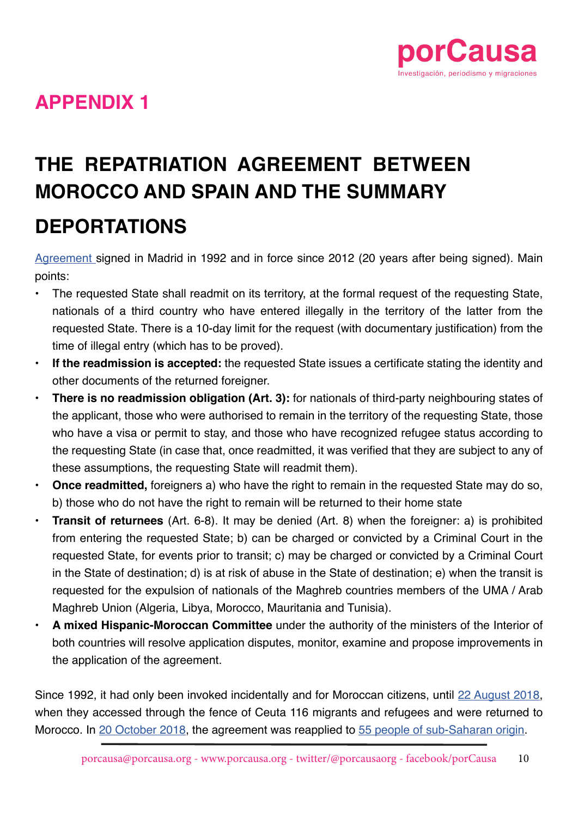

## **APPENDIX 1**

# **THE REPATRIATION AGREEMENT BETWEEN MOROCCO AND SPAIN AND THE SUMMARY DEPORTATIONS**

[Agreement s](https://www.boe.es/diario_boe/txt.php?id=BOE-A-1992-8976)igned in Madrid in 1992 and in force since 2012 (20 years after being signed). Main points:

- The requested State shall readmit on its territory, at the formal request of the requesting State, nationals of a third country who have entered illegally in the territory of the latter from the requested State. There is a 10-day limit for the request (with documentary justification) from the time of illegal entry (which has to be proved).
- **• If the readmission is accepted:** the requested State issues a certificate stating the identity and other documents of the returned foreigner.
- **• There is no readmission obligation (Art. 3):** for nationals of third-party neighbouring states of the applicant, those who were authorised to remain in the territory of the requesting State, those who have a visa or permit to stay, and those who have recognized refugee status according to the requesting State (in case that, once readmitted, it was verified that they are subject to any of these assumptions, the requesting State will readmit them).
- **• Once readmitted,** foreigners a) who have the right to remain in the requested State may do so, b) those who do not have the right to remain will be returned to their home state
- **• Transit of returnees** (Art. 6-8). It may be denied (Art. 8) when the foreigner: a) is prohibited from entering the requested State; b) can be charged or convicted by a Criminal Court in the requested State, for events prior to transit; c) may be charged or convicted by a Criminal Court in the State of destination; d) is at risk of abuse in the State of destination; e) when the transit is requested for the expulsion of nationals of the Maghreb countries members of the UMA / Arab Maghreb Union (Algeria, Libya, Morocco, Mauritania and Tunisia).
- **• A mixed Hispanic-Moroccan Committee** under the authority of the ministers of the Interior of both countries will resolve application disputes, monitor, examine and propose improvements in the application of the agreement.

Since 1992, it had only been invoked incidentally and for Moroccan citizens, until [22 August 2018,](https://elpais.com/politica/2018/08/24/actualidad/1535135930_887405.html) when they accessed through the fence of Ceuta 116 migrants and refugees and were returned to Morocco. In [20 October 2018](https://elpais.com/politica/2018/10/20/actualidad/1540060243_161638.html), the agreement was reapplied to [55 people of sub-Saharan origin](https://www.eldiario.es/desalambre/Gobierno-convierte-devoluciones-expres-frenar_0_827667598.html).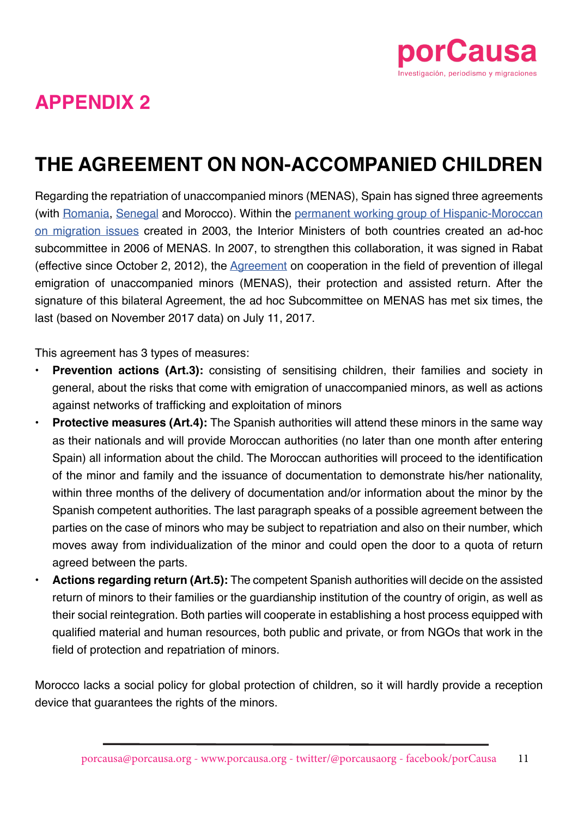

# **APPENDIX 2**

# **THE AGREEMENT ON NON-ACCOMPANIED CHILDREN**

Regarding the repatriation of unaccompanied minors (MENAS), Spain has signed three agreements (with [Romania,](http://www.congreso.es/public_oficiales/L8/CORT/BOCG/A/CG_A231.PDF) [Senegal](https://www.boe.es/boe/dias/2008/07/18/pdfs/A31413-31415.pdf) and Morocco). Within the [permanent working group of Hispanic-Moroccan](http://www.congreso.es/l12p/e5/e_0057226_n_000.pdf) [on migration issues](http://www.congreso.es/l12p/e5/e_0057226_n_000.pdf) created in 2003, the Interior Ministers of both countries created an ad-hoc subcommittee in 2006 of MENAS. In 2007, to strengthen this collaboration, it was signed in Rabat (effective since October 2, 2012), the [Agreement](https://www.boe.es/diario_boe/txt.php?id=BOE-A-2013-3140) on cooperation in the field of prevention of illegal emigration of unaccompanied minors (MENAS), their protection and assisted return. After the signature of this bilateral Agreement, the ad hoc Subcommittee on MENAS has met six times, the last (based on November 2017 data) on July 11, 2017.

This agreement has 3 types of measures:

- **• Prevention actions (Art.3):** consisting of sensitising children, their families and society in general, about the risks that come with emigration of unaccompanied minors, as well as actions against networks of trafficking and exploitation of minors
- **Protective measures (Art.4):** The Spanish authorities will attend these minors in the same way as their nationals and will provide Moroccan authorities (no later than one month after entering Spain) all information about the child. The Moroccan authorities will proceed to the identification of the minor and family and the issuance of documentation to demonstrate his/her nationality, within three months of the delivery of documentation and/or information about the minor by the Spanish competent authorities. The last paragraph speaks of a possible agreement between the parties on the case of minors who may be subject to repatriation and also on their number, which moves away from individualization of the minor and could open the door to a quota of return agreed between the parts.
- **• Actions regarding return (Art.5):** The competent Spanish authorities will decide on the assisted return of minors to their families or the guardianship institution of the country of origin, as well as their social reintegration. Both parties will cooperate in establishing a host process equipped with qualified material and human resources, both public and private, or from NGOs that work in the field of protection and repatriation of minors.

Morocco lacks a social policy for global protection of children, so it will hardly provide a reception device that guarantees the rights of the minors.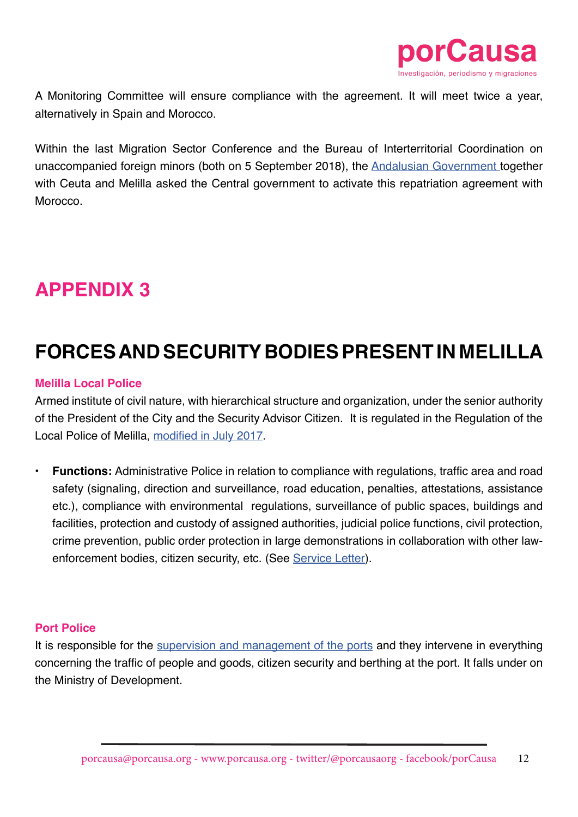

A Monitoring Committee will ensure compliance with the agreement. It will meet twice a year, alternatively in Spain and Morocco.

Within the last Migration Sector Conference and the Bureau of Interterritorial Coordination on unaccompanied foreign minors (both on 5 September 2018), the [Andalusian Government](https://elpais.com/politica/2018/09/04/actualidad/1536078343_155207.html?rel=str_articulo#1536663215242) together with Ceuta and Melilla asked the Central government to activate this repatriation agreement with **Morocco** 

## **APPENDIX 3**

## **FORCES AND SECURITY BODIES PRESENT IN MELILLA**

#### **Melilla Local Police**

Armed institute of civil nature, with hierarchical structure and organization, under the senior authority of the President of the City and the Security Advisor Citizen. It is regulated in the Regulation of the Local Police of Melilla, [modified in July 2017](http://www.melilla.es/melillaportal/RecursosWeb/DOCUMENTOS/1/0_18018_1.pdf).

**• Functions:** Administrative Police in relation to compliance with regulations, traffic area and road safety (signaling, direction and surveillance, road education, penalties, attestations, assistance etc.), compliance with environmental regulations, surveillance of public spaces, buildings and facilities, protection and custody of assigned authorities, judicial police functions, civil protection, crime prevention, public order protection in large demonstrations in collaboration with other lawenforcement bodies, citizen security, etc. (See [Service Letter\)](http://www.melilla.es/melillaportal/contenedor.jsp?seccion=s_fdoc_d4_v1.jsp&contenido=14527&tipo=5&nivel=1400&codResi=1).

#### **Port Police**

It is responsible for the [supervision and management of the ports](http://transparencia.gob.es/servicios-buscador/contenido/realdecretoley.htm?id=NORMAT_E0000360113041&fcAct=2017-03-31T08:45:37.934Z&lang=es) and they intervene in everything concerning the traffic of people and goods, citizen security and berthing at the port. It falls under on the Ministry of Development.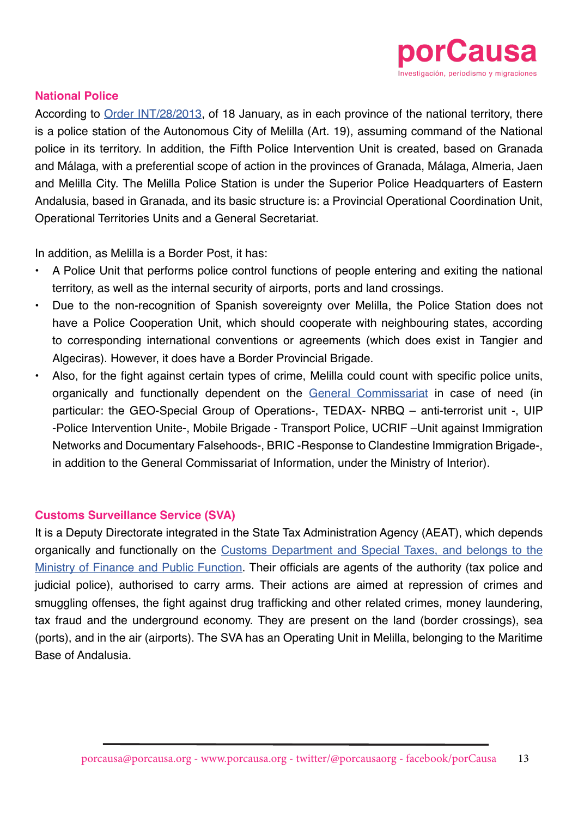

#### **National Police**

According to [Order INT/28/2013,](https://www.boe.es/buscar/act.php?id=BOE-A-2013-662) of 18 January, as in each province of the national territory, there is a police station of the Autonomous City of Melilla (Art. 19), assuming command of the National police in its territory. In addition, the Fifth Police Intervention Unit is created, based on Granada and Málaga, with a preferential scope of action in the provinces of Granada, Málaga, Almeria, Jaen and Melilla City. The Melilla Police Station is under the Superior Police Headquarters of Eastern Andalusia, based in Granada, and its basic structure is: a Provincial Operational Coordination Unit, Operational Territories Units and a General Secretariat.

In addition, as Melilla is a Border Post, it has:

- A Police Unit that performs police control functions of people entering and exiting the national territory, as well as the internal security of airports, ports and land crossings.
- Due to the non-recognition of Spanish sovereignty over Melilla, the Police Station does not have a Police Cooperation Unit, which should cooperate with neighbouring states, according to corresponding international conventions or agreements (which does exist in Tangier and Algeciras). However, it does have a Border Provincial Brigade.
- Also, for the fight against certain types of crime, Melilla could count with specific police units, organically and functionally dependent on the [General Commissariat](https://www.boe.es/buscar/doc.php?id=BOE-A-1990-188) in case of need (in particular: the GEO-Special Group of Operations-, TEDAX- NRBQ – anti-terrorist unit -, UIP -Police Intervention Unite-, Mobile Brigade - Transport Police, UCRIF –Unit against Immigration Networks and Documentary Falsehoods-, BRIC -Response to Clandestine Immigration Brigade-, in addition to the General Commissariat of Information, under the Ministry of Interior).

#### **Customs Surveillance Service (SVA)**

It is a Deputy Directorate integrated in the State Tax Administration Agency (AEAT), which depends organically and functionally on the [Customs Department and Special Taxes, and belongs to the](https://www.agenciatributaria.es/AEAT.internet/Inicio/La_Agencia_Tributaria/Aduanas_e_Impuestos_Especiales/_Presentacion/Vigilancia_Aduanera/_INFORMACION/Informacion_general/Informacion_general.shtml) [Ministry of Finance and Public Function](https://www.agenciatributaria.es/AEAT.internet/Inicio/La_Agencia_Tributaria/Aduanas_e_Impuestos_Especiales/_Presentacion/Vigilancia_Aduanera/_INFORMACION/Informacion_general/Informacion_general.shtml). Their officials are agents of the authority (tax police and judicial police), authorised to carry arms. Their actions are aimed at repression of crimes and smuggling offenses, the fight against drug trafficking and other related crimes, money laundering, tax fraud and the underground economy. They are present on the land (border crossings), sea (ports), and in the air (airports). The SVA has an Operating Unit in Melilla, belonging to the Maritime Base of Andalusia.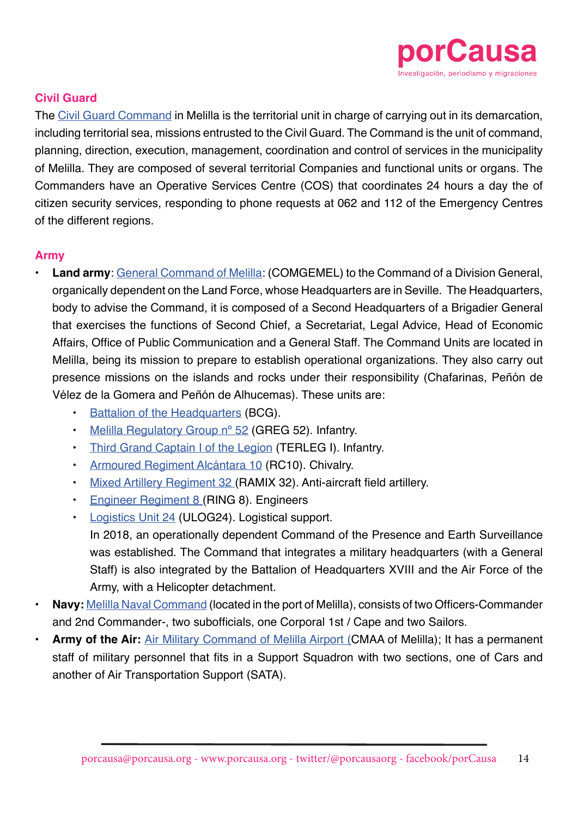

#### **Civil Guard**

The [Civil Guard Command](http://www.guardiacivil.es/es/institucional/directorio/melilla/cmda__melilla.html) in Melilla is the territorial unit in charge of carrying out in its demarcation, including territorial sea, missions entrusted to the Civil Guard. The Command is the unit of command, planning, direction, execution, management, coordination and control of services in the municipality of Melilla. They are composed of several territorial Companies and functional units or organs. The Commanders have an Operative Services Centre (COS) that coordinates 24 hours a day the of citizen security services, responding to phone requests at 062 and 112 of the Emergency Centres of the different regions.

#### **Army**

- **• Land army**: [General Command of Melilla:](http://www.ejercito.mde.es/unidades/Melilla/comgemel/index.html) (COMGEMEL) to the Command of a Division General, organically dependent on the Land Force, whose Headquarters are in Seville. The Headquarters, body to advise the Command, it is composed of a Second Headquarters of a Brigadier General that exercises the functions of Second Chief, a Secretariat, Legal Advice, Head of Economic Affairs, Office of Public Communication and a General Staff. The Command Units are located in Melilla, being its mission to prepare to establish operational organizations. They also carry out presence missions on the islands and rocks under their responsibility (Chafarinas, Peñón de Vélez de la Gomera and Peñón de Alhucemas). These units are:
	- [Battalion of the Headquarters](http://www.ejercito.mde.es/unidades/Melilla/bcgcomgemel/Actividades/index.html) (BCG).
	- [Melilla Regulatory Group nº 52](http://www.ejercito.mde.es/unidades/Melilla/grm52/index.html) (GREG 52). Infantry.
	- [Third Grand Captain I of the Legion](http://www.ejercito.mde.es/unidades/Melilla/tercio_gran_capitan1/Organizacion/index.html) (TERLEG I). Infantry.
	- [Armoured Regiment Alcántara 10](http://www.ejercito.mde.es/unidades/Melilla/rcac10/Organizacion/index.html) (RC10). Chivalry.
	- [Mixed Artillery Regiment 32](http://www.ejercito.mde.es/unidades/Melilla/ramix32/Organizacion/index.html) (RAMIX 32). Anti-aircraft field artillery.
	- [Engineer Regiment 8 \(](http://www.ejercito.mde.es/unidades/Melilla/ring8/Organizacion/index.html)RING 8). Engineers
	- [Logistics Unit 24](http://www.ejercito.mde.es/unidades/Melilla/ulog24/index.html) (ULOG24). Logistical support.
	- In 2018, an operationally dependent Command of the Presence and Earth Surveillance was established. The Command that integrates a military headquarters (with a General Staff) is also integrated by the Battalion of Headquarters XVIII and the Air Force of the Army, with a Helicopter detachment.
- **• Navy:** [Melilla Naval Command](http://www.armada.mde.es/ArmadaPortal/page/Portal/ArmadaEspannola/conocenosorganizacion/prefLang-es/03Flota--03Flota-Fuerza-Accion-Maritima--06Comandancias-Ayudantias-Navales--16cnmelilla-es) (located in the port of Melilla), consists of two Officers-Commander and 2nd Commander-, two subofficials, one Corporal 1st / Cape and two Sailors.
- **• Army of the Air:** [Air Military Command of Melilla Airport \(](http://www.ejercitodelaire.mde.es/EA/ejercitodelaire/es/organizacion/unidades/detalle-unidad/Comandancia-Militar-Aerea-del-Aeropuerto-de-Melilla-CMAA-de-Melilla/)CMAA of Melilla); It has a permanent staff of military personnel that fits in a Support Squadron with two sections, one of Cars and another of Air Transportation Support (SATA).